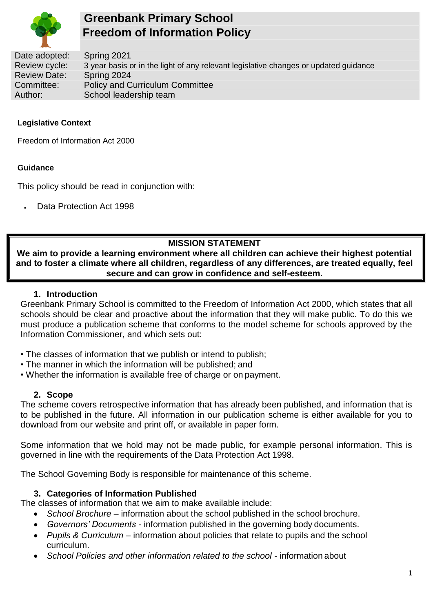

# **Greenbank Primary School Freedom of Information Policy**

Date adopted: Spring 2021<br>Review cycle: 3 year basis o Review cycle: 3 year basis or in the light of any relevant legislative changes or updated guidance<br>Review Date: Spring 2024 Review Date: Spring 2024<br>Committee: Policy and C Policy and Curriculum Committee Author: School leadership team

# **Legislative Context**

Freedom of Information Act 2000

#### **Guidance**

This policy should be read in conjunction with:

• Data Protection Act 1998

# **MISSION STATEMENT**

**We aim to provide a learning environment where all children can achieve their highest potential and to foster a climate where all children, regardless of any differences, are treated equally, feel secure and can grow in confidence and self-esteem.**

## **1. Introduction**

Greenbank Primary School is committed to the Freedom of Information Act 2000, which states that all schools should be clear and proactive about the information that they will make public. To do this we must produce a publication scheme that conforms to the model scheme for schools approved by the Information Commissioner, and which sets out:

- The classes of information that we publish or intend to publish;
- The manner in which the information will be published; and
- Whether the information is available free of charge or on payment.

## **2. Scope**

The scheme covers retrospective information that has already been published, and information that is to be published in the future. All information in our publication scheme is either available for you to download from our website and print off, or available in paper form.

Some information that we hold may not be made public, for example personal information. This is governed in line with the requirements of the Data Protection Act 1998.

The School Governing Body is responsible for maintenance of this scheme.

## **3. Categories of Information Published**

The classes of information that we aim to make available include:

- *School Brochure* information about the school published in the school brochure.
- *Governors' Documents*  information published in the governing body documents.
- *Pupils & Curriculum*  information about policies that relate to pupils and the school curriculum.
- *School Policies and other information related to the school*  information about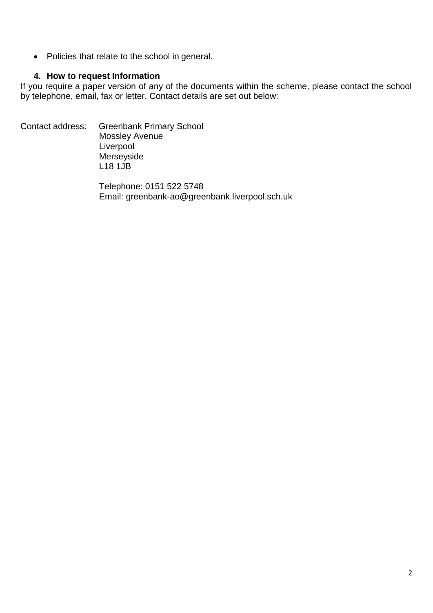• Policies that relate to the school in general.

## **4. How to request Information**

If you require a paper version of any of the documents within the scheme, please contact the school by telephone, email, fax or letter. Contact details are set out below:

Contact address: Greenbank Primary School Mossley Avenue Liverpool Merseyside L18 1JB

> Telephone: 0151 522 5748 Email: greenbank-a[o@greenbank.liverpool.sch.uk](mailto:sudleyi-ao@sudley-inf.liverpool.sch.uk)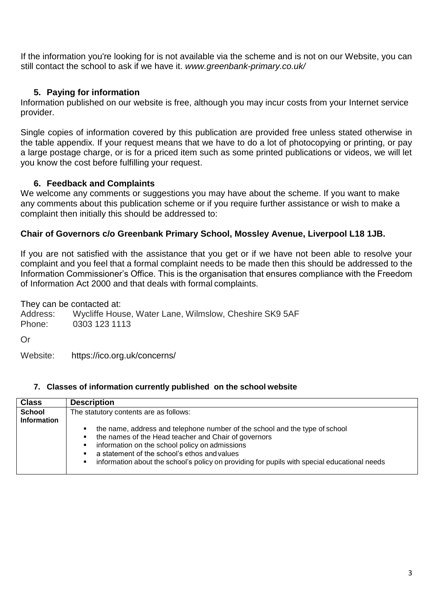If the information you're looking for is not available via the scheme and is not on our Website, you can still contact the school to ask if we have it. *www.greenbank-primary.co.uk/*

# **5. Paying for information**

Information published on our website is free, although you may incur costs from your Internet service provider.

Single copies of information covered by this publication are provided free unless stated otherwise in the table appendix. If your request means that we have to do a lot of photocopying or printing, or pay a large postage charge, or is for a priced item such as some printed publications or videos, we will let you know the cost before fulfilling your request.

# **6. Feedback and Complaints**

We welcome any comments or suggestions you may have about the scheme. If you want to make any comments about this publication scheme or if you require further assistance or wish to make a complaint then initially this should be addressed to:

# **Chair of Governors c/o Greenbank Primary School, Mossley Avenue, Liverpool L18 1JB.**

If you are not satisfied with the assistance that you get or if we have not been able to resolve your complaint and you feel that a formal complaint needs to be made then this should be addressed to the Information Commissioner's Office. This is the organisation that ensures compliance with the Freedom of Information Act 2000 and that deals with formal complaints.

They can be contacted at: Address: Wycliffe House, Water Lane, Wilmslow, Cheshire SK9 5AF<br>Phone: 0303 123 1113 0303 123 1113

Or

Website: <https://ico.org.uk/concerns/>

## **7. Classes of information currently published on the school website**

| <b>Class</b>                        | <b>Description</b>                                                                                                                                                                                                                                                                                                                                             |
|-------------------------------------|----------------------------------------------------------------------------------------------------------------------------------------------------------------------------------------------------------------------------------------------------------------------------------------------------------------------------------------------------------------|
| <b>School</b><br><b>Information</b> | The statutory contents are as follows:                                                                                                                                                                                                                                                                                                                         |
|                                     | the name, address and telephone number of the school and the type of school<br>٠<br>the names of the Head teacher and Chair of governors<br>٠<br>information on the school policy on admissions<br>٠<br>a statement of the school's ethos and values<br>٠<br>information about the school's policy on providing for pupils with special educational needs<br>٠ |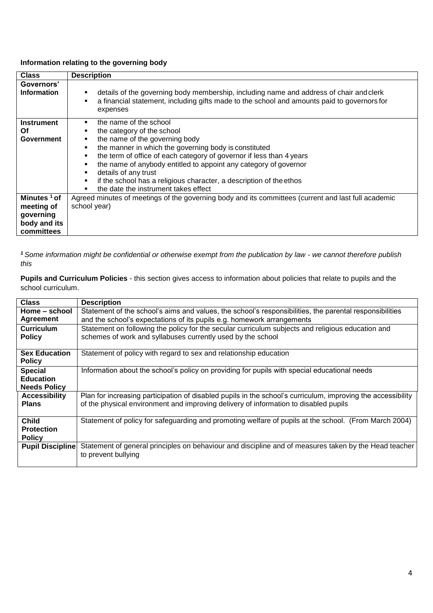#### **Information relating to the governing body**

| <b>Class</b>                          | <b>Description</b>                                                                                                                                                                                                                                                                                                                                                                                                                 |
|---------------------------------------|------------------------------------------------------------------------------------------------------------------------------------------------------------------------------------------------------------------------------------------------------------------------------------------------------------------------------------------------------------------------------------------------------------------------------------|
| Governors'<br><b>Information</b>      | details of the governing body membership, including name and address of chair and clerk<br>a financial statement, including gifts made to the school and amounts paid to governors for<br>expenses                                                                                                                                                                                                                                 |
| <b>Instrument</b><br>Οf<br>Government | the name of the school<br>the category of the school<br>the name of the governing body<br>the manner in which the governing body is constituted<br>the term of office of each category of governor if less than 4 years<br>the name of anybody entitled to appoint any category of governor<br>details of any trust<br>if the school has a religious character, a description of the ethos<br>the date the instrument takes effect |
| Minutes <sup>1</sup> of               | Agreed minutes of meetings of the governing body and its committees (current and last full academic                                                                                                                                                                                                                                                                                                                                |
| meeting of                            | school year)                                                                                                                                                                                                                                                                                                                                                                                                                       |
| governing                             |                                                                                                                                                                                                                                                                                                                                                                                                                                    |
| body and its                          |                                                                                                                                                                                                                                                                                                                                                                                                                                    |
| committees                            |                                                                                                                                                                                                                                                                                                                                                                                                                                    |

*<sup>1</sup>Some information might be confidential or otherwise exempt from the publication by law - we cannot therefore publish this*

**Pupils and Curriculum Policies** - this section gives access to information about policies that relate to pupils and the school curriculum.

| <b>Class</b>                          | <b>Description</b>                                                                                           |
|---------------------------------------|--------------------------------------------------------------------------------------------------------------|
| Home – school                         | Statement of the school's aims and values, the school's responsibilities, the parental responsibilities      |
| <b>Agreement</b>                      | and the school's expectations of its pupils e.g. homework arrangements                                       |
| <b>Curriculum</b>                     | Statement on following the policy for the secular curriculum subjects and religious education and            |
| <b>Policy</b>                         | schemes of work and syllabuses currently used by the school                                                  |
|                                       |                                                                                                              |
| <b>Sex Education</b><br><b>Policy</b> | Statement of policy with regard to sex and relationship education                                            |
| <b>Special</b>                        | Information about the school's policy on providing for pupils with special educational needs                 |
| <b>Education</b>                      |                                                                                                              |
| <b>Needs Policy</b>                   |                                                                                                              |
| <b>Accessibility</b>                  | Plan for increasing participation of disabled pupils in the school's curriculum, improving the accessibility |
| <b>Plans</b>                          | of the physical environment and improving delivery of information to disabled pupils                         |
|                                       |                                                                                                              |
| <b>Child</b>                          | Statement of policy for safeguarding and promoting welfare of pupils at the school. (From March 2004)        |
| <b>Protection</b>                     |                                                                                                              |
| <b>Policy</b>                         |                                                                                                              |
| <b>Pupil Discipline</b>               | Statement of general principles on behaviour and discipline and of measures taken by the Head teacher        |
|                                       | to prevent bullying                                                                                          |
|                                       |                                                                                                              |